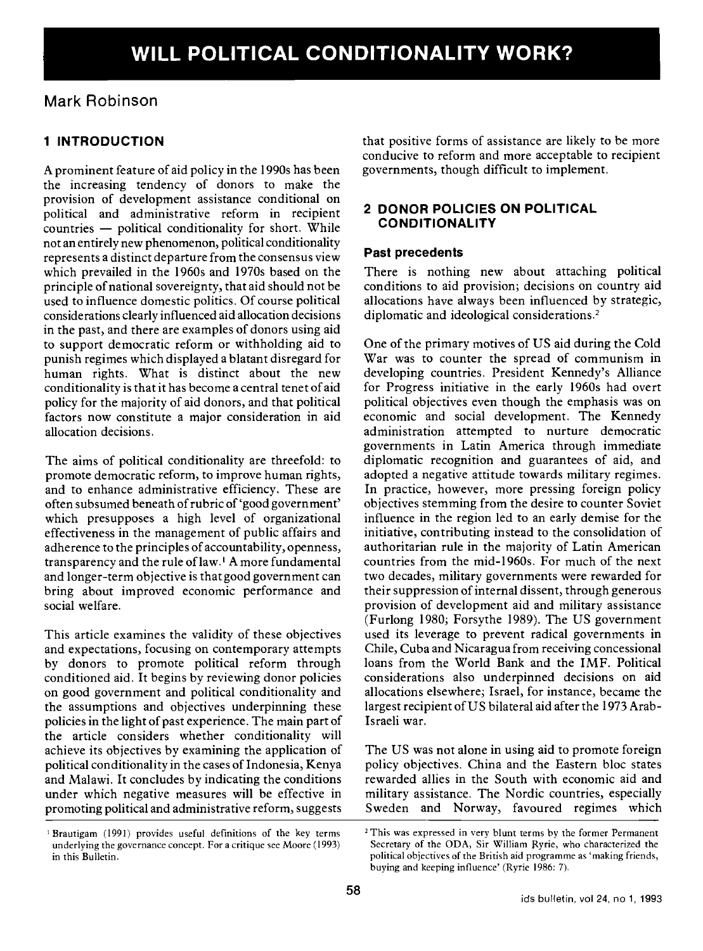# Mark Robinson

# 1 INTRODUCTION

A prominent feature of aid policy in the 1990s has been the increasing tendency of donors to make the provision of development assistance conditional on political and administrative reform in recipient  $countries$   $-$  political conditionality for short. While not an entirely new phenomenon, political conditionality represents a distinct departure from the consensus view which prevailed in the 1960s and 1970s based on the principle of national sovereignty, that aid should not be used to influence domestic politics. Of course political considerations clearly influenced aid allocation decisions in the past, and there are examples of donors using aid to support democratic reform or withholding aid to punish regimes which displayed a blatant disregard for human rights. What is distinct about the new conditionality is that it has become a central tenet of aid policy for the majority of aid donors, and that political factors now constitute a major consideration in aid allocation decisions.

The aims of political conditionality are threefold: to promote democratic reform, to improve human rights, and to enhance administrative efficiency. These are often subsumed beneath of rubric of 'good government' which presupposes a high level of organizational effectiveness in the management of public affairs and adherence to the principles of accountability, openness, transparency and the rule of law.<sup>1</sup> A more fundamental and longer-term objective is that good government can bring about improved economic performance and social welfare.

This article examines the validity of these objectives and expectations, focusing on contemporary attempts by donors to promote political reform through conditioned aid. It begins by reviewing donor policies on good government and political conditionality and the assumptions and objectives underpinning these policies in the light of past experience. The main part of the article considers whether conditionality will achieve its objectives by examining the application of political conditionality in the cases of Indonesia, Kenya and Malawi. It concludes by indicating the conditions under which negative measures will be effective in promoting political and administrative reform, suggests

Brautigam (1991) provides useful definitions of the key terms underlying the governance concept. For a critique see Moore (1993) in this Bulletin.

that positive forms of assistance are likely to be more conducive to reform and more acceptable to recipient governments, though difficult to implement.

#### 2 DONOR POLICIES ON POLITICAL CONDITIONALITY

#### Past precedents

There is nothing new about attaching political conditions to aid provision; decisions on country aid allocations have always been influenced by strategic, diplomatic and ideological considerations.2

One of the primary motives of US aid during the Cold War was to counter the spread of communism in developing countries. President Kennedy's Alliance for Progress initiative in the early 1960s had overt political objectives even though the emphasis was on economic and social development. The Kennedy administration attempted to nurture democratic governments in Latin America through immediate diplomatic recognition and guarantees of aid, and adopted a negative attitude towards military regimes. In practice, however, more pressing foreign policy objectives stemming from the desire to counter Soviet influence in the region led to an early demise for the initiative, contributing instead to the consolidation of authoritarian rule in the majority of Latin American countries from the mid-l960s. For much of the next two decades, military governments were rewarded for their suppression of internal dissent, through generous provision of development aid and military assistance (Furlong 1980; Forsythe 1989). The US government used its leverage to prevent radical governments in Chile, Cuba and Nicaragua from receiving concessional loans from the World Bank and the IMF. Political considerations also underpinned decisions on aid allocations elsewhere; Israel, for instance, became the largest recipient of US bilateral aid after the 1973 Arab-Israeli war.

The US was not alone in using aid to promote foreign policy objectives. China and the Eastern bloc states rewarded allies in the South with economic aid and military assistance. The Nordic countries, especially Sweden and Norway, favoured regimes which

<sup>2</sup> This was expressed in very blunt terms by the former Permanent Secretary of the ODA, Sir William Ryrie, who characterized the political objectives of the British aid programme as 'making friends, buying and keeping influence' (Ryrie 1986: 7).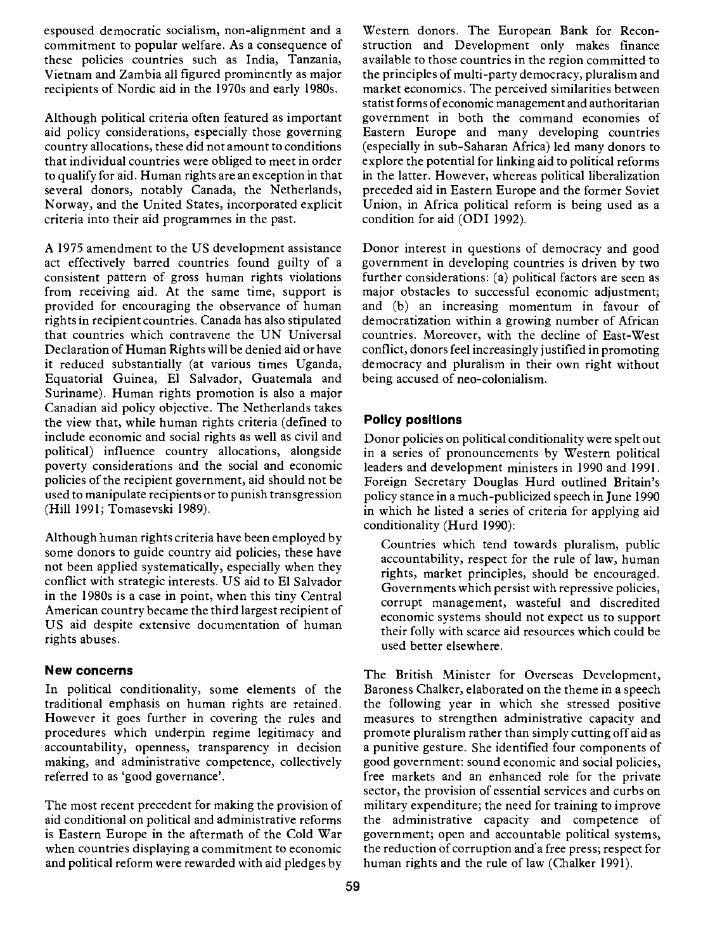espoused democratic socialism, non-alignment and a commitment to popular welfare. As a consequence of these policies countries such as India, Tanzania, Vietnam and Zambia all figured prominently as major recipients of Nordic aid in the 1970s and early 1980s.

Although political criteria often featured as important aid policy considerations, especially those governing country allocations, these did not amount to conditions that individual countries were obliged to meet in order to qualify for aid. Human rights are an exception in that several donors, notably Canada, the Netherlands, Norway, and the United States, incorporated explicit criteria into their aid programmes in the past.

A 1975 amendment to the US development assistance act effectively barred countries found guilty of a consistent pattern of gross human rights violations from receiving aid. At the same time, support is provided for encouraging the observance of human rights in recipient countries. Canada has also stipulated that countries which contravene the UN Universal Declaration of Human Rights will be denied aid or have it reduced substantially (at various times Uganda, Equatorial Guinea, El Salvador, Guatemala and Suriname). Human rights promotion is also a major Canadian aid policy objective. The Netherlands takes the view that, while human rights criteria (defined to include economic and social rights as well as civil and political) influence country allocations, alongside poverty considerations and the social and economic policies of the recipient government, aid should not be used to manipulate recipients or to punish transgression (Hill 1991; Tomasevski 1989).

Although human rights criteria have been employed by some donors to guide country aid policies, these have not been applied systematically, especially when they conflict with strategic interests. US aid to El Salvador in the 1980s is a case in point, when this tiny Central American country became the third largest recipient of US aid despite extensive documentation of human rights abuses.

#### New concerns

In political conditionality, some elements of the traditional emphasis on human rights are retained. However it goes further in covering the rules and procedures which underpin regime legitimacy and accountability, openness, transparency in decision making, and administrative competence, collectively referred to as 'good governance'.

The most recent precedent for making the provision of aid conditional on political and administrative reforms is Eastern Europe in the aftermath of the Cold War when countries displaying a commitment to economic and political reform were rewarded with aid pledges by

Western donors. The European Bank for Reconstruction and Development only makes finance available to those countries in the region committed to the principles of multi-party democracy, pluralism and market economics. The perceived similarities between statist forms of economic management and authoritarian government in both the command economies of Eastern Europe and many developing countries (especially in sub-Saharan Africa) led many donors to explore the potential for linking aid to political reforms in the latter. However, whereas political liberalization preceded aid in Eastern Europe and the former Soviet Union, in Africa political reform is being used as a condition for aid (ODI 1992).

Donor interest in questions of democracy and good government in developing countries is driven by two further considerations: (a) political factors are seen as major obstacles to successful economic adjustment; and (b) an increasing momentum in favour of democratization within a growing number of African countries. Moreover, with the decline of East-West conflict, donors feel increasingly justified in promoting democracy and pluralism in their own right without being accused of neo-colonialism.

### Policy positions

Donor policies on political conditionality were spelt out in a series of pronouncements by Western political leaders and development ministers in 1990 and 1991. Foreign Secretary Douglas Hurd outlined Britain's policy stance in a much-publicized speech in June 1990 in which he listed a series of criteria for applying aid conditionality (Hurd 1990):

Countries which tend towards pluralism, public accountability, respect for the rule of law, human rights, market principles, should be encouraged. Governments which persist with repressive policies, corrupt management, wasteful and discredited economic systems should not expect us to support their folly with scarce aid resources which could be used better elsewhere.

The British Minister for Overseas Development, Baroness Chalker, elaborated on the theme in a speech the following year in which she stressed positive measures to strengthen administrative capacity and promote pluralism rather than simply cutting off aid as a punitive gesture. She identified four components of good government: sound economic and social policies, free markets and an enhanced role for the private sector, the provision of essential services and curbs on military expenditure; the need for training to improve the administrative capacity and competence of government; open and accountable political systems, the reduction of corruption and a free press; respect for human rights and the rule of law (Chalker 1991).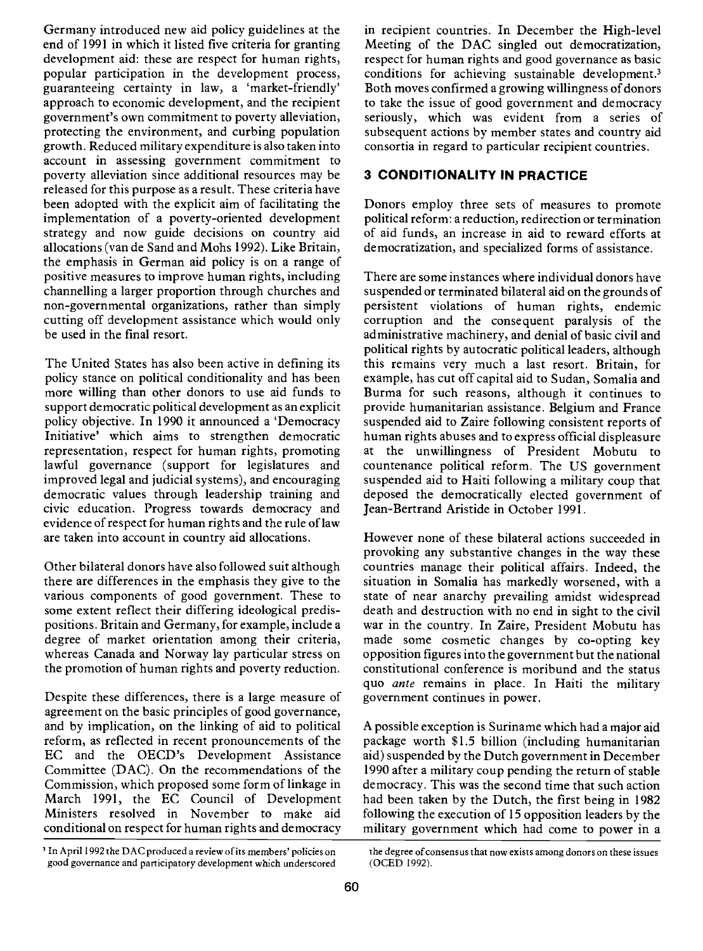Germany introduced new aid policy guidelines at the end of 1991 in which it listed five criteria for granting development aid: these are respect for human rights, popular participation in the development process, guaranteeing certainty in law, a 'market-friendly' approach to economic development, and the recipient government's own commitment to poverty alleviation, protecting the environment, and curbing population growth. Reduced military expenditure is also taken into account in assessing government commitment to poverty alleviation since additional resources may be released for this purpose as a result. These criteria have been adopted with the explicit aim of facilitating the implementation of a poverty-oriented development strategy and now guide decisions on country aid allocations (van de Sand and Mohs 1992). Like Britain, the emphasis in German aid policy is on a range of positive measures to improve human rights, including channelling a larger proportion through churches and non-governmental organizations, rather than simply cutting off development assistance which would only be used in the final resort.

The United States has also been active in defining its policy stance on political conditionality and has been more willing than other donors to use aid funds to support democratic political development as an explicit policy objective. In 1990 it announced a 'Democracy Initiative' which aims to strengthen democratic representation, respect for human rights, promoting lawful governance (support for legislatures and improved legal and judicial systems), and encouraging democratic values through leadership training and civic education. Progress towards democracy and evidence of respect for human rights and the rule of law are taken into account in country aid allocations.

Other bilateral donors have also followed suit although there are differences in the emphasis they give to the various components of good government. These to some extent reflect their differing ideological predispositions. Britain and Germany, for example, include a degree of market orientation among their criteria, whereas Canada and Norway lay particular stress on the promotion of human rights and poverty reduction.

Despite these differences, there is a large measure of agreement on the basic principles of good governance, and by implication, on the linking of aid to political reform, as reflected in recent pronouncements of the EC and the OECD's Development Assistance Committee (DAC). On the recommendations of the Commission, which proposed some form of linkage in March 1991, the EC Council of Development Ministers resolved in November to make aid conditional on respect for human rights and democracy

in recipient countries. In December the High-level Meeting of the DAC singled out democratization, respect for human rights and good governance as basic conditions for achieving sustainable development.3 Both moves confirmed a growing willingness of donors to take the issue of good government and democracy seriously, which was evident from a series of subsequent actions by member states and country aid consortia in regard to particular recipient countries.

### 3 CONDITIONALITY IN PRACTICE

Donors employ three sets of measures to promote political reform: a reduction, redirection or termination of aid funds, an increase in aid to reward efforts at democratization, and specialized forms of assistance.

There are some instances where individual donors have suspended or terminated bilateral aid on the grounds of persistent violations of human rights, endemic corruption and the consequent paralysis of the administrative machinery, and denial of basic civil and political rights by autocratic political leaders, although this remains very much a last resort. Britain, for example, has cut off capital aid to Sudan, Somalia and Burma for such reasons, although it continues to provide humanitarian assistance. Belgium and France suspended aid to Zaire following consistent reports of human rights abuses and to express official displeasure at the unwillingness of President Mobutu to countenance political reform. The US government suspended aid to Haiti following a military coup that deposed the democratically elected government of Jean-Bertrand Aristide in October 1991.

However none of these bilateral actions succeeded in provoking any substantive changes in the way these countries manage their political affairs. Indeed, the situation in Somalia has markedly worsened, with a state of near anarchy prevailing amidst widespread death and destruction with no end in sight to the civil war in the country. In Zaire, President Mobutu has made some cosmetic changes by co-opting key opposition figures into the government but the national constitutional conference is moribund and the status quo ante remains in place. In Haiti the military government continues in power.

A possible exception is Suriname which had a major aid package worth \$1.5 billion (including humanitarian aid) suspended by the Dutch government in December 1990 after a military coup pending the return of stable democracy. This was the second time that such action had been taken by the Dutch, the first being in 1982 following the execution of 15 opposition leaders by the military government which had come to power in a

<sup>&#</sup>x27;In April 1992 the DAC produced a review of its members' policies on the degree of consensus that now exists among donors on these issues good governance and participatory development which underscored (OCED 1992).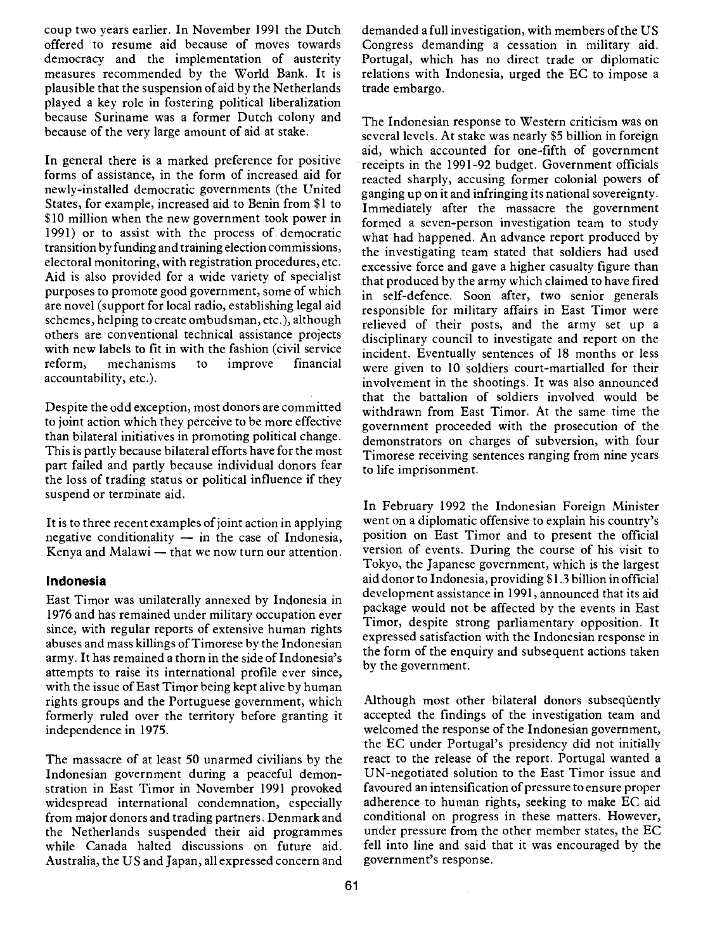coup two years earlier. In November 1991 the Dutch offered to resume aid because of moves towards democracy and the implementation of austerity measures recommended by the World Bank. It is plausible that the suspension of aid by the Netherlands played a key role in fostering political liberalization because Suriname was a former Dutch colony and because of the very large amount of aid at stake.

In general there is a marked preference for positive forms of assistance, in the form of increased aid for newly-installed democratic governments (the United States, for example, increased aid to Benin from \$1 to \$10 million when the new government took power in 1991) or to assist with the process of. democratic transition by funding and training election commissions, electoral monitoring, with registration procedures, etc. Aid is also provided for a wide variety of specialist purposes to promote good government, some of which are novel (support for local radio, establishing legal aid schemes, helping to create ombudsman, etc.), although others are conventional technical assistance projects with new labels to fit in with the fashion (civil service reform, mechanisms to improve financial accountability, etc.).

Despite the odd exception, most donors are committed to joint action which they perceive to be more effective than bilateral initiatives in promoting political change. This is partly because bilateral efforts have for the most part failed and partly because individual donors fear the loss of trading status or political influence if they suspend or terminate aid.

It is to three recent examples of joint action in applying negative conditionality  $-$  in the case of Indonesia, Kenya and Malawi - that we now turn our attention.

#### Indonesia

East Timor was unilaterally annexed by Indonesia in 1976 and has remained under military occupation ever since, with regular reports of extensive human rights abuses and mass killings of Timorese by the Indonesian army. It has remained a thorn in the side of Indonesia's attempts to raise its international profile ever since, with the issue of East Timor being kept alive by human rights groups and the Portuguese government, which formerly ruled over the territory before granting it independence in 1975.

The massacre of at least 50 unarmed civilians by the Indonesian government during a peaceful demonstration in East Timor in November 1991 provoked widespread international condemnation, especially from major donors and trading partners. Denmark and the Netherlands suspended their aid programmes while Canada halted discussions on future aid. Australia, the US and Japan, all expressed concern and demanded a full investigation, with members of the US Congress demanding a cessation in military aid. Portugal, which has no direct trade or diplomatic relations with Indonesia, urged the EC to impose a trade embargo.

The Indonesian response to Western criticism was on several levels. At stake was nearly \$5 billion in foreign aid, which accounted for one-fifth of government receipts in the 1991-92 budget. Government officials reacted sharply, accusing former colonial powers of ganging up on it and infringing its national sovereignty. Immediately after the massacre the government formed a seven-person investigation team to study what had happened. An advance report produced by the investigating team stated that soldiers had used excessive force and gave a higher casualty figure than that produced by the army which claimed to have fired in self-defence. Soon after, two senior generals responsible for military affairs in East Timor were relieved of their posts, and the army set up a disciplinary council to investigate and report on the incident. Eventually sentences of 18 months or less were given to 10 soldiers court-martialled for their involvement in the shootings. It was also announced that the battalion of soldiers involved would be withdrawn from East Timor. At the same time the government proceeded with the prosecution of the demonstrators on charges of subversion, with four Timorese receiving sentences ranging from nine years to life imprisonment.

In February 1992 the Indonesian Foreign Minister went on a diplomatic offensive to explain his country's position on East Timor and to present the official version of events. During the course of his visit to Tokyo, the Japanese government, which is the largest aid donor to Indonesia, providing \$1.3 billion in official development assistance in 1991, announced that its aid package would not be affected by the events in East Timor, despite strong parliamentary opposition. It expressed satisfaction with the Indonesian response in the form of the enquiry and subsequent actions taken by the government.

Although most other bilateral donors subsequently accepted the findings of the investigation team and welcomed the response of the Indonesian government, the EC under Portugal's presidency did not initially react to the release of the report. Portugal wanted a UN-negotiated solution to the East Timor issue and favoured an intensification of pressure to ensure proper adherence to human rights, seeking to make EC aid conditional on progress in these matters. However, under pressure from the other member states, the EC fell into line and said that it was encouraged by the government's response.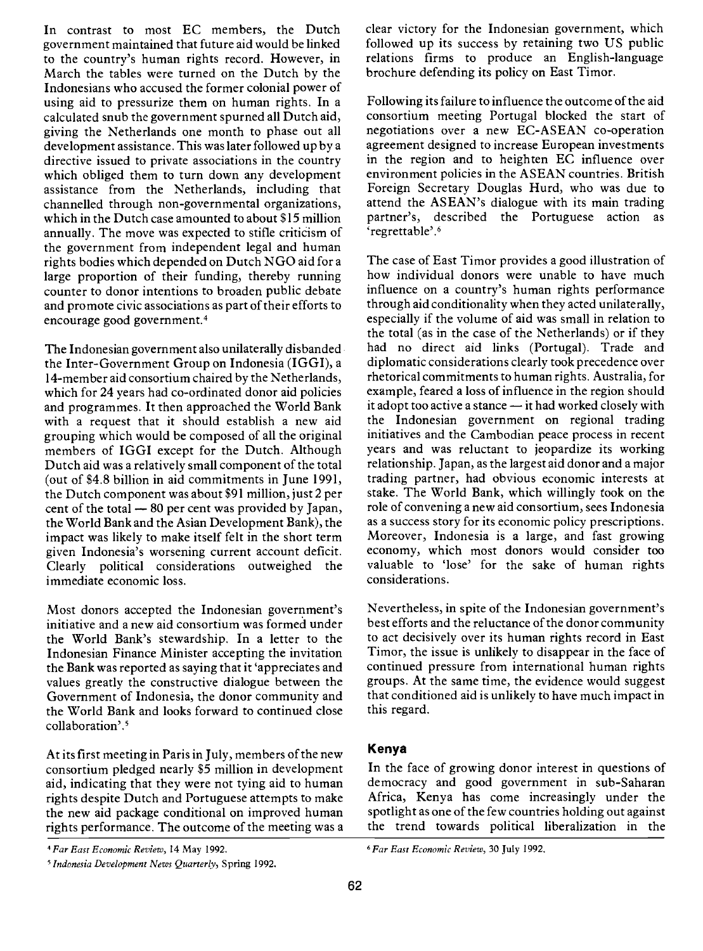In contrast to most EC members, the Dutch government maintained that future aid would be linked to the country's human rights record. However, in March the tables were turned on the Dutch by the Indonesians who accused the former colonial power of using aid to pressurize them on human rights. In a calculated snub the government spurned all Dutch aid, giving the Netherlands one month to phase out all development assistance. This was later followed up by a directive issued to private associations in the country which obliged them to turn down any development assistance from the Netherlands, including that channelled through non-governmental organizations, which in the Dutch case amounted to about \$15 million annually. The move was expected to stifle criticism of the government from independent legal and human rights bodies which depended on Dutch NGO aid for a large proportion of their funding, thereby running counter to donor intentions to broaden public debate and promote civic associations as part of their efforts to encourage good government.4

The Indonesian government also unilaterally disbanded the Inter-Government Group on Indonesia (IGGI), a 14-member aid consortium chaired by the Netherlands, which for 24 years had co-ordinated donor aid policies and programmes. It then approached the World Bank with a request that it should establish a new aid grouping which would be composed of all the original members of IGGI except for the Dutch. Although Dutch aid was a relatively small component of the total (out of \$4.8 billion in aid commitments in June 1991, the Dutch component was about \$91 million, just 2 per cent of the total  $-80$  per cent was provided by Japan, the World Bank and the Asian Development Bank), the impact was likely to make itself felt in the short term given Indonesia's worsening current account deficit. Clearly political considerations outweighed the immediate economic loss.

Most donors accepted the Indonesian government's initiative and a new aid consortium was formed under the World Bank's stewardship. In a letter to the Indonesian Finance Minister accepting the invitation the Bank was reported as saying that it 'appreciates and values greatly the constructive dialogue between the Government of Indonesia, the donor community and the World Bank and looks forward to continued close collaboration'.<sup>5</sup>

At its first meeting in Paris in July, members of the new consortium pledged nearly \$5 million in development aid, indicating that they were not tying aid to human rights despite Dutch and Portuguese attempts to make the new aid package conditional on improved human rights performance. The outcome of the meeting was a

'Indonesia Development News Quarterly, Spring 1992.

clear victory for the Indonesian government, which followed up its success by retaining two US public relations firms to produce an English-language brochure defending its policy on East Timor.

Following its failure to influence the outcome of the aid consortium meeting Portugal blocked the start of negotiations over a new EC-ASEAN co-operation agreement designed to increase European investments in the region and to heighten EC influence over environment policies in the ASEAN countries. British Foreign Secretary Douglas Hurd, who was due to attend the ASEAN's dialogue with its main trading partner's, described the Portuguese action as 'regrettable'.6

The case of East Timor provides a good illustration of how individual donors were unable to have much influence on a country's human rights performance through aid conditionality when they acted unilaterally, especially if the volume of aid was small in relation to the total (as in the case of the Netherlands) or if they had no direct aid links (Portugal). Trade and diplomatic considerations clearly took precedence over rhetorical commitments to human rights. Australia, for example, feared a loss of influence in the region should it adopt too active a stance - it had worked closely with the Indonesian government on regional trading initiatives and the Cambodian peace process in recent years and was reluctant to jeopardize its working relationship. Japan, as the largest aid donor and a major trading partner, had obvious economic interests at stake. The World Bank, which willingly took on the role of convening a new aid consortium, sees Indonesia as a success story for its economic policy prescriptions. Moreover, Indonesia is a large, and fast growing economy, which most donors would consider too valuable to 'lose' for the sake of human rights considerations.

Nevertheless, in spite of the Indonesian government's best efforts and the reluctance of the donor community to act decisively over its human rights record in East Timor, the issue is unlikely to disappear in the face of continued pressure from international human rights groups. At the same time, the evidence would suggest that conditioned aid is unlikely to have much impact in this regard.

### Kenya

In the face of growing donor interest in questions of democracy and good government in sub-Saharan Africa, Kenya has come increasingly under the spotlight as one of the few countries holding out against the trend towards political liberalization in the

<sup>&#</sup>x27;Far East Economic Review, 14 May 1992. 'Far East Economic Review, 30 July 1992.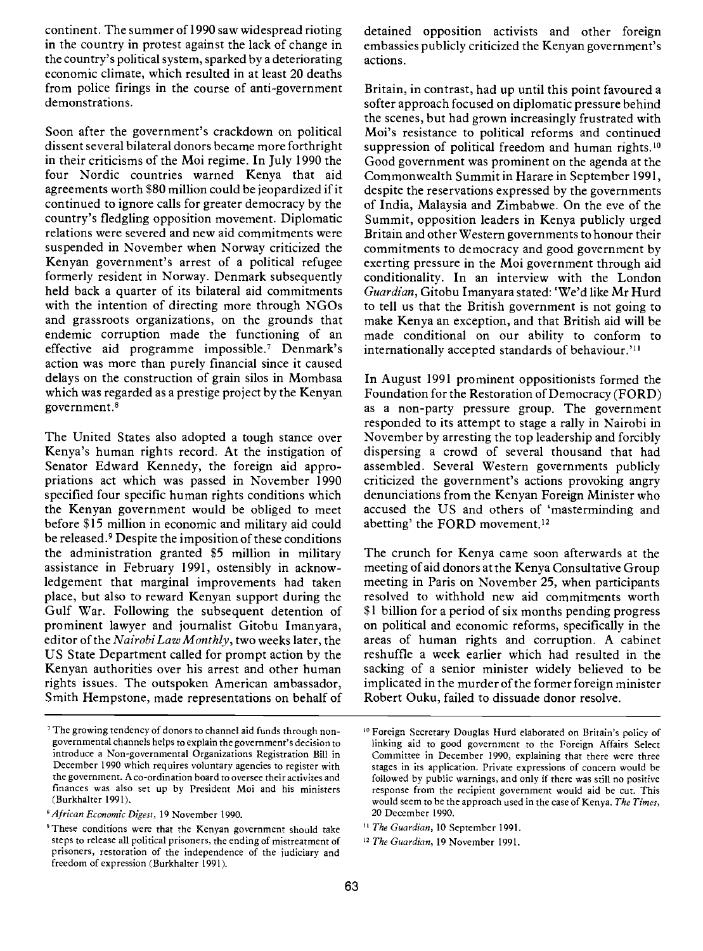continent. The summer of 1990 saw widespread rioting in the country in protest against the lack of change in the country's political system, sparked by a deteriorating economic climate, which resulted in at least 20 deaths from police firings in the course of anti-government demonstrations.

Soon after the government's crackdown on political dissent several bilateral donors became more forthright in their criticisms of the Moi regime. In July 1990 the four Nordic countries warned Kenya that aid agreements worth \$80 million could be jeopardized if it continued to ignore calls for greater democracy by the country's fledgling opposition movement. Diplomatic relations were severed and new aid commitments were suspended in November when Norway criticized the Kenyan government's arrest of a political refugee formerly resident in Norway. Denmark subsequently held back a quarter of its bilateral aid commitments with the intention of directing more through NGOs and grassroots organizations, on the grounds that endemic corruption made the functioning of an effective aid programme impossible.7 Denmark's action was more than purely financial since it caused delays on the construction of grain silos in Mombasa which was regarded as a prestige project by the Kenyan government.8

The United States also adopted a tough stance over Kenya's human rights record. At the instigation of Senator Edward Kennedy, the foreign aid appropriations act which was passed in November 1990 specified four specific human rights conditions which the Kenyan government would be obliged to meet before \$15 million in economic and military aid could be released.9 Despite the imposition of these conditions the administration granted \$5 million in military assistance in February 1991, ostensibly in acknowledgement that marginal improvements had taken place, but also to reward Kenyan support during the Gulf War. Following the subsequent detention of prominent lawyer and journalist Gitobu Imanyara, editor of the Nairobi Law Monthly, two weeks later, the US State Department called for prompt action by the Kenyan authorities over his arrest and other human rights issues. The outspoken American ambassador, Smith Hempstone, made representations on behalf of detained opposition activists and other foreign embassies publicly criticized the Kenyan government's actions.

Britain, in contrast, had up until this point favoured a softer approach focused on diplomatic pressure behind the scenes, but had grown increasingly frustrated with Moi's resistance to political reforms and continued suppression of political freedom and human rights.<sup>10</sup> Good government was prominent on the agenda at the Commonwealth Summit in Harare in September 1991, despite the reservations expressed by the governments of India, Malaysia and Zimbabwe. On the eve of the Summit, opposition leaders in Kenya publicly urged Britain and other Western governments to honour their commitments to democracy and good government by exerting pressure in the Moi government through aid conditionality. In an interview with the London Guardian, Gitobu Imanyara stated: 'We'd like Mr Hurd to tell us that the British government is not going to make Kenya an exception, and that British aid will be made conditional on our ability to conform to internationally accepted standards of behaviour."

In August 1991 prominent oppositionists formed the Foundation for the Restoration of Democracy (FORD) as a non-party pressure group. The government responded to its attempt to stage a rally in Nairobi in November by arresting the top leadership and forcibly dispersing a crowd of several thousand that had assembled. Several Western governments publicly criticized the government's actions provoking angry denunciations from the Kenyan Foreign Minister who accused the US and others of 'masterminding and abetting' the FORD movement.'2

The crunch for Kenya came soon afterwards at the meeting of aid donors at the Kenya Consultative Group meeting in Paris on November 25, when participants resolved to withhold new aid commitments worth \$1 billion for a period of six months pending progress on political and economic reforms, specifically in the areas of human rights and corruption. A cabinet reshuffle a week earlier which had resulted in the sacking of a senior minister widely believed to be implicated in the murder of the former foreign minister Robert Ouku, failed to dissuade donor resolve.

<sup>&</sup>lt;sup>7</sup> The growing tendency of donors to channel aid funds through nongovernmental channels helps to explain the government's decision to introduce a Non-governmental Organizations Registration Bill in December 1990 which requires voluntary agencies to register with the government. A co-ordination board to oversee their activites and finances was also set up by President Moi and his ministers (Burkhalter 1991).

<sup>&#</sup>x27;African Economic Digest, 19 November 1990.

<sup>&#</sup>x27;These conditions were that the Kenyan government should take steps to release all political prisoners, the ending of mistreatment of prisoners, restoration of the independence of the judiciary and freedom of expression (Burkhalter 1991).

Foreign Secretary Douglas Hurd elaborated on Britain's policy of linking aid to good government to the Foreign Affairs Select Committee in December 1990, explaining that there were three stages in its application. Private expressions of concern would be followed by public warnings, and only if there was still no positive response from the recipient government would aid be cut. This would seem to be the approach used in the case of Kenya. The Times, 20 December 1990.

<sup>&</sup>lt;sup>11</sup> The Guardian, 10 September 1991.

<sup>&</sup>lt;sup>12</sup> The Guardian, 19 November 1991.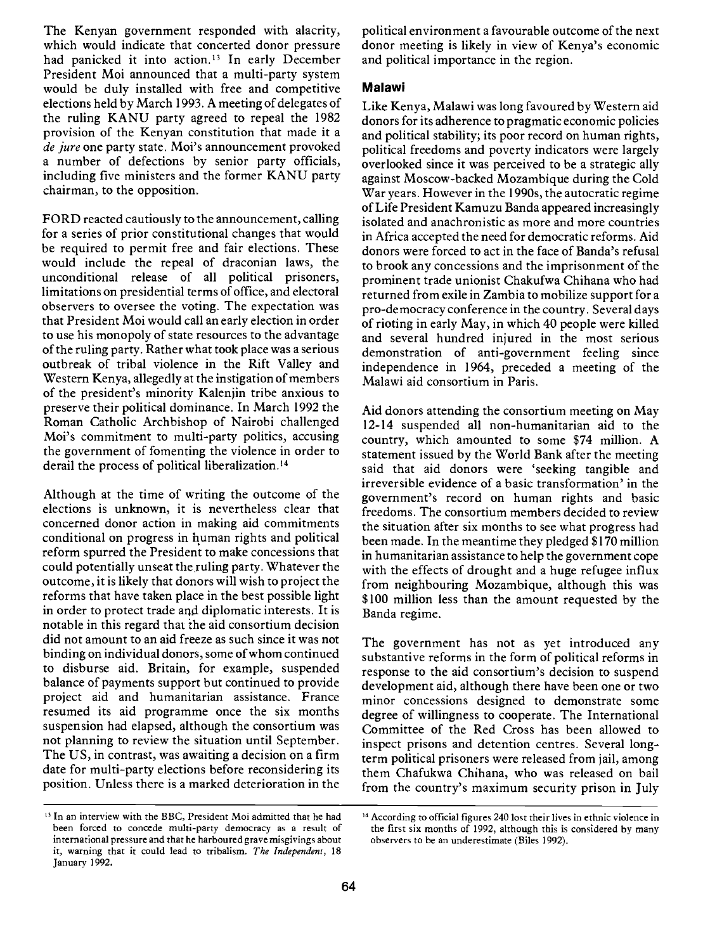The Kenyan government responded with alacrity, which would indicate that concerted donor pressure had panicked it into action.<sup>13</sup> In early December President Moi announced that a multi-party system would be duly installed with free and competitive elections held by March 1993. A meeting of delegates of the ruling KANU party agreed to repeal the 1982 provision of the Kenyan constitution that made it a de jure one party state. Moi's announcement provoked a number of defections by senior party officials, including five ministers and the former KANU party chairman, to the opposition.

FORD reacted cautiously to the announcement, calling for a series of prior constitutional changes that would be required to permit free and fair elections. These would include the repeal of draconian laws, the unconditional release of all political prisoners, limitations on presidential terms of office, and electoral observers to oversee the voting. The expectation was that President Moi would call an early election in order to use his monopoly of state resources to the advantage of the ruling party. Rather what took place was a serious outbreak of tribal violence in the Rift Valley and Western Kenya, allegedly at the instigation of members of the president's minority Kalenjin tribe anxious to preserve their political dominance. In March 1992 the Roman Catholic Archbishop of Nairobi challenged Moi's commitment to multi-party politics, accusing the government of fomenting the violence in order to derail the process of political liberalization.'4

Although at the time of writing the outcome of the elections is unknown, it is nevertheless clear that concerned donor action in making aid commitments conditional on progress in human rights and political reform spurred the President to make concessions that could potentially unseat the ruling party. Whatever the outcome, it is likely that donors will wish to project the reforms that have taken place in the best possible light in order to protect trade and diplomatic interests. It is notable in this regard that ihe aid consortium decision did not amount to an aid freeze as such since it was not binding on individual donors, some of whom continued to disburse aid. Britain, for example, suspended balance of payments support but continued to provide project aid and humanitarian assistance. France resumed its aid programme once the six months suspension had elapsed, although the consortium was not planning to review the situation until September. The US, in contrast, was awaiting a decision on a firm date for multi-party elections before reconsidering its position. Unless there is a marked deterioration in the

political environment a favourable outcome of the next donor meeting is likely in view of Kenya's economic and political importance in the region.

#### Malawi

Like Kenya, Malawi was long favoured by Western aid donors for its adherence to pragmatic economic policies and political stability; its poor record on human rights, political freedoms and poverty indicators were largely overlooked since it was perceived to be a strategic ally against Moscow-backed Mozambique during the Cold War years. However in the l990s, the autocratic regime of Life President Kamuzu Banda appeared increasingly isolated and anachronistic as more and more countries in Africa accepted the need for democratic reforms. Aid donors were forced to act in the face of Banda's refusal to brook any concessions and the imprisonment of the prominent trade unionist Chakufwa Chihana who had returned from exile in Zambia to mobilize support for a pro-democracy conference in the country. Several days of rioting in early May, in which 40 people were killed and several hundred injured in the most serious demonstration of anti-government feeling since independence in 1964, preceded a meeting of the Malawi aid consortium in Paris.

Aid donors attending the consortium meeting on May 12-14 suspended all non-humanitarian aid to the country, which amounted to some \$74 million. A statement issued by the World Bank after the meeting said that aid donors were 'seeking tangible and irreversible evidence of a basic transformation' in the government's record on human rights and basic freedoms. The consortium members decided to review the situation after six months to see what progress had been made. In the meantime they pledged \$170 million in humanitarian assistance to help the government cope with the effects of drought and a huge refugee influx from neighbouring Mozambique, although this was \$100 million less than the amount requested by the Banda regime.

The government has not as yet introduced any substantive reforms in the form of political reforms in response to the aid consortium's decision to suspend development aid, although there have been one or two minor concessions designed to demonstrate some degree of willingness to cooperate. The International Committee of the Red Cross has been allowed to inspect prisons and detention centres. Several longterm political prisoners were released from jail, among them Chafukwa Chihana, who was released on bail from the country's maximum security prison in July

<sup>&</sup>lt;sup>13</sup> In an interview with the BBC, President Moi admitted that he had been forced to concede multi-party democracy as a result of international pressure and that he harboured grave misgivings about it, warning that it could lead to tribalism. The Independent, 18 January 1992.

<sup>&</sup>lt;sup>14</sup> According to official figures 240 lost their lives in ethnic violence in the first six months of 1992, although this is considered by many observers to be an underestimate (Biles 1992).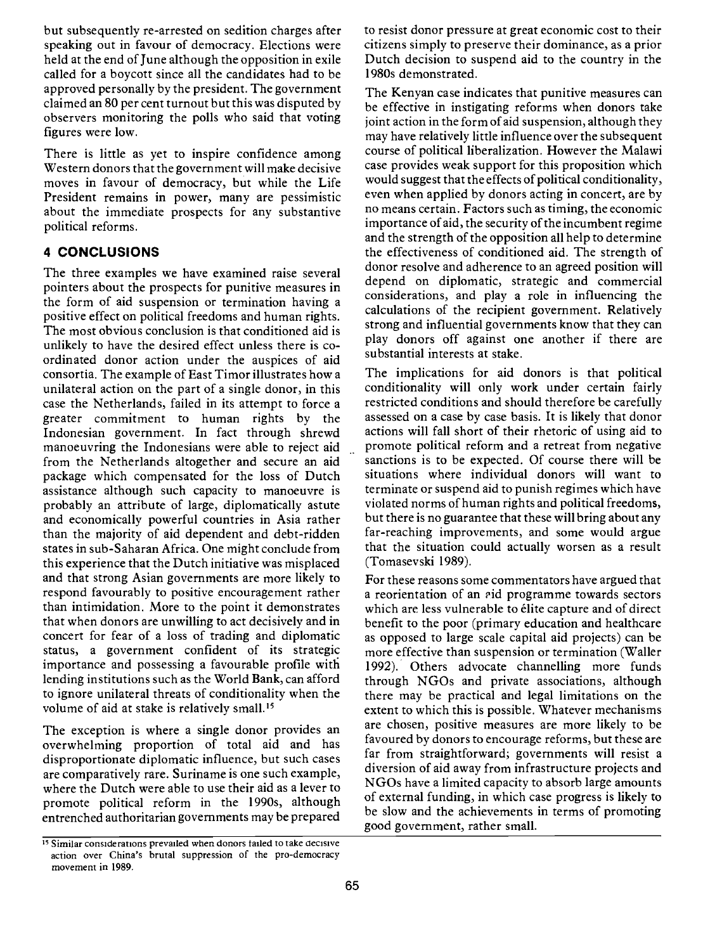but subsequently re-arrested on sedition charges after speaking out in favour of democracy. Elections were held at the end of June although the opposition in exile called for a boycott since all the candidates had to be approved personally by the president. The government claimed an 80 per cent turnout but this was disputed by observers monitoring the polls who said that voting figures were low.

There is little as yet to inspire confidence among Western donors that the government will make decisive moves in favour of democracy, but while the Life President remains in power, many are pessimistic about the immediate prospects for any substantive political reforms.

## 4 CONCLUSIONS

The three examples we have examined raise several pointers about the prospects for punitive measures in the form of aid suspension or termination having a positive effect on political freedoms and human rights. The most obvious conclusion is that conditioned aid is unlikely to have the desired effect unless there is coordinated donor action under the auspices of aid consortia. The example of East Timor illustrates how a unilateral action on the part of a single donor, in this case the Netherlands, failed in its attempt to force a greater commitment to human rights by the Indonesian government. In fact through shrewd manoeuvring the Indonesians were able to reject aid from the Netherlands altogether and secure an aid package which compensated for the loss of Dutch assistance although such capacity to manoeuvre is probably an attribute of large, diplomatically astute and economically powerful countries in Asia rather than the majority of aid dependent and debt-ridden states in sub-Saharan Africa. One might conclude from this experience that the Dutch initiative was misplaced and that strong Asian governments are more likely to respond favourably to positive encouragement rather than intimidation. More to the point it demonstrates that when donors are unwilling to act decisively and in concert for fear of a loss of trading and diplomatic status, a government confident of its strategic importance and possessing a favourable profile with lending institutions such as the World Bank, can afford to ignore unilateral threats of conditionality when the volume of aid at stake is relatively small.'5

The exception is where a single donor provides an overwhelming proportion of total aid and has disproportionate diplomatic influence, but such cases are comparatively rare. Suriname is one such example, where the Dutch were able to use their aid as a lever to promote political reform in the l990s, although entrenched authoritarian governments may be prepared

to resist donor pressure at great economic cost to their citizens simply to preserve their dominance, as a prior Dutch decision to suspend aid to the country in the 1 980s demonstrated.

The Kenyan case indicates that punitive measures can be effective in instigating reforms when donors take joint action in the form of aid suspension, although they may have relatively little influence over the subsequent course of political liberalization. However the Malawi case provides weak support for this proposition which would suggest that the effects of political conditionality, even when applied by donors acting in concert, are by no means certain. Factors such as timing, the economic importance of aid, the security of the incumbent regime and the strength of the opposition all help to determine the effectiveness of conditioned aid. The strength of donor resolve and adherence to an agreed position will depend on diplomatic, strategic and commercial considerations, and play a role in influencing the calculations of the recipient government. Relatively strong and influential governments know that they can play donors off against one another if there are substantial interests at stake.

The implications for aid donors is that political conditionality will only work under certain fairly restricted conditions and should therefore be carefully assessed on a case by case basis. It is likely that donor actions will fall short of their rhetoric of using aid to promote political reform and a retreat from negative sanctions is to be expected. Of course there will be situations where individual donors will want to terminate or suspend aid to punish regimes which have violated norms of human rights and political freedoms, but there is no guarantee that these will bring about any far-reaching improvements, and some would argue that the situation could actually worsen as a result (Tomasevski 1989).

For these reasons some commentators have argued that a reorientation of an aid programme towards sectors which are less vulnerable to élite capture and of direct benefit to the poor (primary education and healthcare as opposed to large scale capital aid projects) can be more effective than suspension or termination (Waller 1992). Others advocate channelling more funds through NGOs and private associations, although there may be practical and legal limitations on the extent to which this is possible. Whatever mechanisms are chosen, positive measures are more likely to be favoured by donors to encourage reforms, but these are far from straightforward; governments will resist a diversion of aid away from infrastructure projects and NGOs have a limited capacity to absorb large amounts of external funding, in which case progress is likely to be slow and the achievements in terms of promoting good government, rather small.

<sup>&</sup>lt;sup>15</sup> Similar considerations prevailed when donors failed to take decisive action over China's brutal suppression of the pro-democracy movement in 1989.